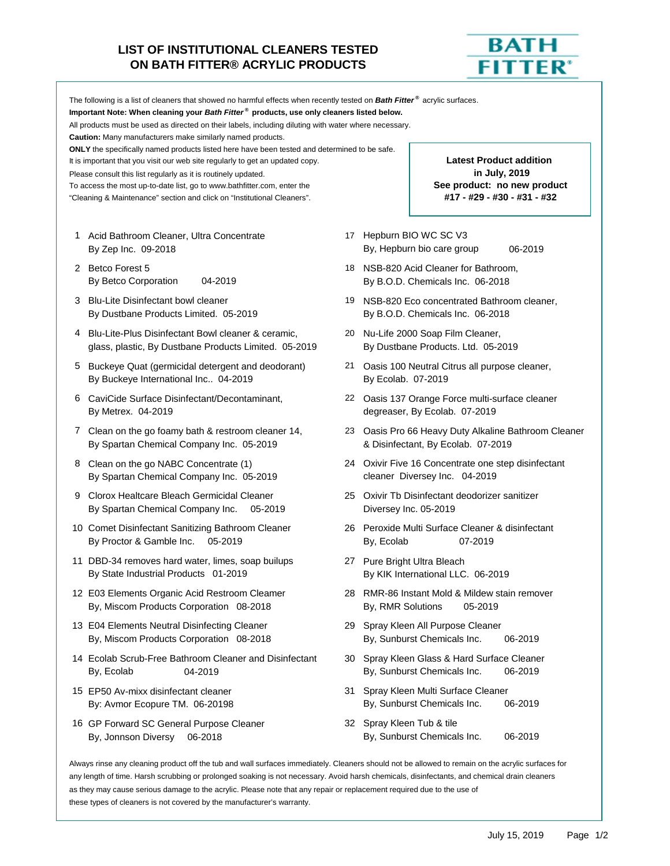## **LIST OF INSTITUTIONAL CLEANERS TESTED ON BATH FITTER® ACRYLIC PRODUCTS**



The following is a list of cleaners that showed no harmful effects when recently tested on *Bath Fitter ®* acrylic surfaces. **Important Note: When cleaning your** *Bath Fitter ®* **products, use only cleaners listed below.** All products must be used as directed on their labels, including diluting with water where necessary. **Caution:** Many manufacturers make similarly named products. **ONLY** the specifically named products listed here have been tested and determined to be safe. It is important that you visit our web site regularly to get an updated copy. Please consult this list regularly as it is routinely updated. To access the most up-to-date list, go to www.bathfitter.com, enter the "Cleaning & Maintenance" section and click on "Institutional Cleaners". 1 Acid Bathroom Cleaner, Ultra Concentrate **17 Hepburn BIO WC SC V3** By Zep Inc. 09-2018 **By Zep Inc.** 09-2019 **By Zep Inc.** 09-2019 2 Betco Forest 5 18 NSB-820 Acid Cleaner for Bathroom, By Betco Corporation 04-2019 By B.O.D. Chemicals Inc. 06-2018 3 Blu-Lite Disinfectant bowl cleaner 19 NSB-820 Eco concentrated Bathroom cleaner, By Dustbane Products Limited. 05-2019 By B.O.D. Chemicals Inc. 06-2018 4 Blu-Lite-Plus Disinfectant Bowl cleaner & ceramic, 20 Nu-Life 2000 Soap Film Cleaner, **#17 - #29 - #30 - #31 - #32 See product: no new product Latest Product addition in July, 2019**

- glass, plastic, By Dustbane Products Limited. 05-2019 By Dustbane Products. Ltd. 05-2019
- By Buckeye International Inc.. 04-2019 By Ecolab. 07-2019
- By Metrex. 04-2019 degreaser, By Ecolab. 07-2019
- By Spartan Chemical Company Inc. 05-2019 & Disinfectant, By Ecolab. 07-2019
- By Spartan Chemical Company Inc. 05-2019 cleaner Diversey Inc. 04-2019
- 9 Clorox Healtcare Bleach Germicidal Cleaner 25 Oxivir Tb Disinfectant deodorizer sanitizer By Spartan Chemical Company Inc. 05-2019 Diversey Inc. 05-2019
- 10 Comet Disinfectant Sanitizing Bathroom Cleaner 26 Peroxide Multi Surface Cleaner & disinfectant By Proctor & Gamble Inc. 05-2019 By, Ecolab 07-2019
- 11 DBD-34 removes hard water, limes, soap builups 27 Pure Bright Ultra Bleach By State Industrial Products 01-2019 By KIK International LLC. 06-2019
- 12 E03 Elements Organic Acid Restroom Cleamer 28 RMR-86 Instant Mold & Mildew stain remover By, Miscom Products Corporation 08-2018 By, RMR Solutions 05-2019
- 13 E04 Elements Neutral Disinfecting Cleaner 29 Spray Kleen All Purpose Cleaner
- 14 Ecolab Scrub-Free Bathroom Cleaner and Disinfectant 30 Spray Kleen Glass & Hard Surface Cleaner By, Ecolab 04-2019 By, Sunburst Chemicals Inc. 06-2019
- 
- 16 GP Forward SC General Purpose Cleaner 32 Spray Kleen Tub & tile
- 
- 
- 
- 5 Buckeye Quat (germicidal detergent and deodorant) 21 Oasis 100 Neutral Citrus all purpose cleaner,
- 6 CaviCide Surface Disinfectant/Decontaminant, 22 Oasis 137 Orange Force multi-surface cleaner
- 7 Clean on the go foamy bath & restroom cleaner 14, 23 Oasis Pro 66 Heavy Duty Alkaline Bathroom Cleaner
- 8 Clean on the go NABC Concentrate (1) 24 Oxivir Five 16 Concentrate one step disinfectant
	-
	-
	-
	-
	- By, Miscom Products Corporation 08-2018 By, Sunburst Chemicals Inc. 06-2019
		-
- 15 EP50 Av-mixx disinfectant cleaner 31 Spray Kleen Multi Surface Cleaner By: Avmor Ecopure TM. 06-20198 **By, Sunburst Chemicals Inc.** 06-2019
	- By, Jonnson Diversy 06-2018 **By, Sunburst Chemicals Inc.** 06-2019

Always rinse any cleaning product off the tub and wall surfaces immediately. Cleaners should not be allowed to remain on the acrylic surfaces for any length of time. Harsh scrubbing or prolonged soaking is not necessary. Avoid harsh chemicals, disinfectants, and chemical drain cleaners as they may cause serious damage to the acrylic. Please note that any repair or replacement required due to the use of these types of cleaners is not covered by the manufacturer's warranty.